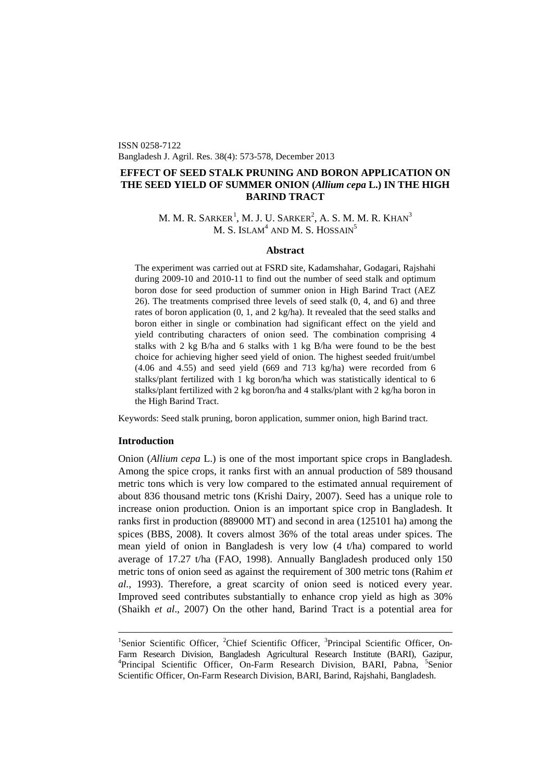ISSN 0258-7122 Bangladesh J. Agril. Res. 38(4): 573-578, December 2013

# **EFFECT OF SEED STALK PRUNING AND BORON APPLICATION ON THE SEED YIELD OF SUMMER ONION (***Allium cepa* **L.) IN THE HIGH BARIND TRACT**

# M. M. R. SARKER $^1$  $^1$ , M. J. U. SARKER $^2$ , A. S. M. M. R. Khan $^3$ M. S. ISLAM<sup>4</sup> AND M. S. HOSSAIN<sup>5</sup>

## **Abstract**

The experiment was carried out at FSRD site, Kadamshahar, Godagari, Rajshahi during 2009-10 and 2010-11 to find out the number of seed stalk and optimum boron dose for seed production of summer onion in High Barind Tract (AEZ 26). The treatments comprised three levels of seed stalk (0, 4, and 6) and three rates of boron application (0, 1, and 2 kg/ha). It revealed that the seed stalks and boron either in single or combination had significant effect on the yield and yield contributing characters of onion seed. The combination comprising 4 stalks with 2 kg B/ha and 6 stalks with 1 kg B/ha were found to be the best choice for achieving higher seed yield of onion. The highest seeded fruit/umbel (4.06 and 4.55) and seed yield (669 and 713 kg/ha) were recorded from 6 stalks/plant fertilized with 1 kg boron/ha which was statistically identical to 6 stalks/plant fertilized with 2 kg boron/ha and 4 stalks/plant with 2 kg/ha boron in the High Barind Tract.

Keywords: Seed stalk pruning, boron application, summer onion, high Barind tract.

## **Introduction**

Onion (*Allium cepa* L.) is one of the most important spice crops in Bangladesh. Among the spice crops, it ranks first with an annual production of 589 thousand metric tons which is very low compared to the estimated annual requirement of about 836 thousand metric tons (Krishi Dairy, 2007). Seed has a unique role to increase onion production. Onion is an important spice crop in Bangladesh. It ranks first in production (889000 MT) and second in area (125101 ha) among the spices (BBS, 2008). It covers almost 36% of the total areas under spices. The mean yield of onion in Bangladesh is very low (4 t/ha) compared to world average of 17.27 t/ha (FAO, 1998). Annually Bangladesh produced only 150 metric tons of onion seed as against the requirement of 300 metric tons (Rahim *et al.*, 1993). Therefore, a great scarcity of onion seed is noticed every year. Improved seed contributes substantially to enhance crop yield as high as 30% (Shaikh *et al*., 2007) On the other hand, Barind Tract is a potential area for

<span id="page-0-0"></span><sup>&</sup>lt;sup>1</sup>Senior Scientific Officer, <sup>2</sup>Chief Scientific Officer, <sup>3</sup>Principal Scientific Officer, On-Farm Research Division, Bangladesh Agricultural Research Institute (BARI), Gazipur, 4 Principal Scientific Officer, On-Farm Research Division, BARI, Pabna, <sup>5</sup>Senior Scientific Officer, On-Farm Research Division, BARI, Barind, Rajshahi, Bangladesh.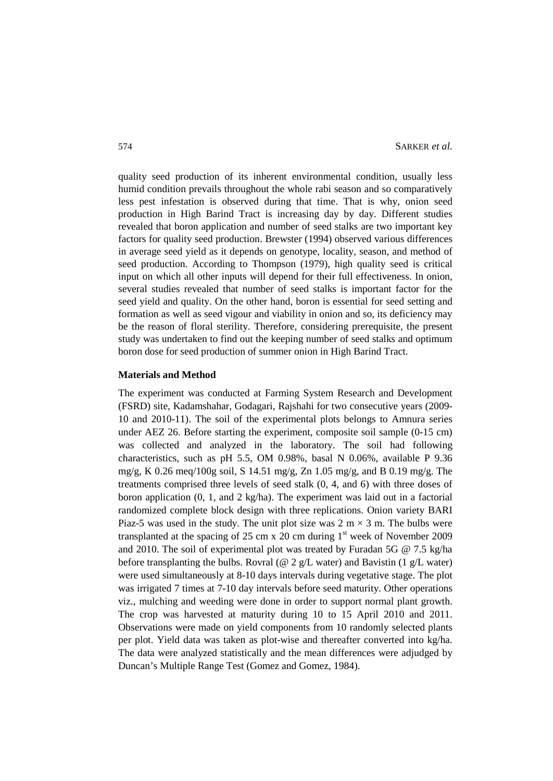quality seed production of its inherent environmental condition, usually less humid condition prevails throughout the whole rabi season and so comparatively less pest infestation is observed during that time. That is why, onion seed production in High Barind Tract is increasing day by day. Different studies revealed that boron application and number of seed stalks are two important key factors for quality seed production. Brewster (1994) observed various differences in average seed yield as it depends on genotype, locality, season, and method of seed production. According to Thompson (1979), high quality seed is critical input on which all other inputs will depend for their full effectiveness. In onion, several studies revealed that number of seed stalks is important factor for the seed yield and quality. On the other hand, boron is essential for seed setting and formation as well as seed vigour and viability in onion and so, its deficiency may be the reason of floral sterility. Therefore, considering prerequisite, the present study was undertaken to find out the keeping number of seed stalks and optimum boron dose for seed production of summer onion in High Barind Tract.

#### **Materials and Method**

The experiment was conducted at Farming System Research and Development (FSRD) site, Kadamshahar, Godagari, Rajshahi for two consecutive years (2009- 10 and 2010-11). The soil of the experimental plots belongs to Amnura series under AEZ 26. Before starting the experiment, composite soil sample (0-15 cm) was collected and analyzed in the laboratory. The soil had following characteristics, such as pH 5.5, OM 0.98%, basal N 0.06%, available P 9.36 mg/g, K 0.26 meq/100g soil, S 14.51 mg/g, Zn 1.05 mg/g, and B 0.19 mg/g. The treatments comprised three levels of seed stalk (0, 4, and 6) with three doses of boron application (0, 1, and 2 kg/ha). The experiment was laid out in a factorial randomized complete block design with three replications. Onion variety BARI Piaz-5 was used in the study. The unit plot size was  $2 \text{ m} \times 3 \text{ m}$ . The bulbs were transplanted at the spacing of 25 cm x 20 cm during  $1<sup>st</sup>$  week of November 2009 and 2010. The soil of experimental plot was treated by Furadan 5G @ 7.5 kg/ha before transplanting the bulbs. Rovral (@ 2 g/L water) and Bavistin (1 g/L water) were used simultaneously at 8-10 days intervals during vegetative stage. The plot was irrigated 7 times at 7-10 day intervals before seed maturity. Other operations viz., mulching and weeding were done in order to support normal plant growth. The crop was harvested at maturity during 10 to 15 April 2010 and 2011. Observations were made on yield components from 10 randomly selected plants per plot. Yield data was taken as plot-wise and thereafter converted into kg/ha. The data were analyzed statistically and the mean differences were adjudged by Duncan's Multiple Range Test (Gomez and Gomez, 1984).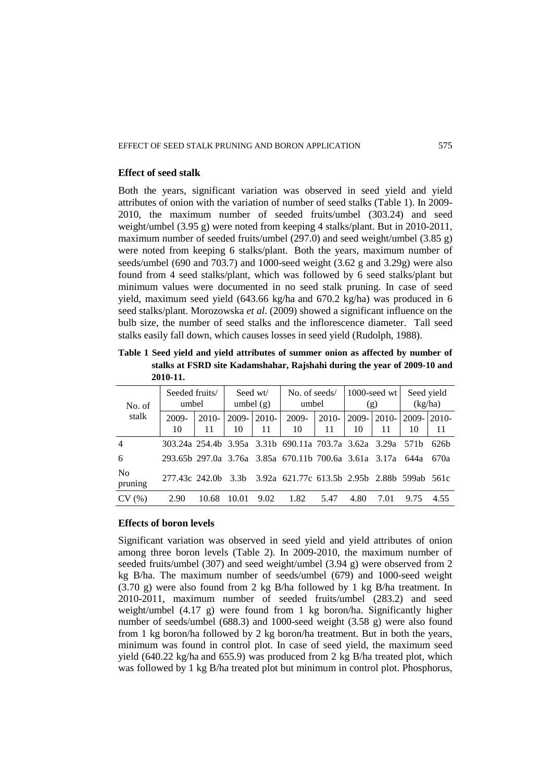#### **Effect of seed stalk**

Both the years, significant variation was observed in seed yield and yield attributes of onion with the variation of number of seed stalks (Table 1). In 2009- 2010, the maximum number of seeded fruits/umbel (303.24) and seed weight/umbel (3.95 g) were noted from keeping 4 stalks/plant. But in 2010-2011, maximum number of seeded fruits/umbel (297.0) and seed weight/umbel (3.85 g) were noted from keeping 6 stalks/plant. Both the years, maximum number of seeds/umbel (690 and 703.7) and 1000-seed weight (3.62 g and 3.29g) were also found from 4 seed stalks/plant, which was followed by 6 seed stalks/plant but minimum values were documented in no seed stalk pruning. In case of seed yield, maximum seed yield (643.66 kg/ha and 670.2 kg/ha) was produced in 6 seed stalks/plant. Morozowska *et al*. (2009) showed a significant influence on the bulb size, the number of seed stalks and the inflorescence diameter. Tall seed stalks easily fall down, which causes losses in seed yield (Rudolph, 1988).

**Table 1 Seed yield and yield attributes of summer onion as affected by number of stalks at FSRD site Kadamshahar, Rajshahi during the year of 2009-10 and 2010-11.**

| No. of<br>stalk           | Seeded fruits/<br>umbel |               | Seed wt/<br>umbel $(g)$ |               | No. of seeds/<br>umbel                                     |               | $1000$ -seed wt<br>(g) |                  | Seed yield<br>(kg/ha) |                   |
|---------------------------|-------------------------|---------------|-------------------------|---------------|------------------------------------------------------------|---------------|------------------------|------------------|-----------------------|-------------------|
|                           | 2009-<br>10             | $2010-$<br>11 | $2009 -$<br>10          | $2010-$<br>11 | 2009-<br>10                                                | $2010-$<br>11 | 2009-<br>10            | $2010 - 1$<br>11 | $2009 -$<br>10        | $2010-$<br>11     |
| $\overline{4}$            |                         |               |                         |               | 303.24a 254.4b 3.95a 3.31b 690.11a 703.7a 3.62a 3.29a 571b |               |                        |                  |                       | 62.6 <sub>h</sub> |
| 6                         |                         |               |                         |               | 293.65b 297.0a 3.76a 3.85a 670.11b 700.6a 3.61a 3.17a 644a |               |                        |                  |                       | 670a              |
| N <sub>o</sub><br>pruning | 277.43c 242.0b 3.3b     |               |                         |               | 3.92a 621.77c 613.5b 2.95b 2.88b 599ab 561c                |               |                        |                  |                       |                   |
| CV(%)                     | 2.90                    | 10.68         | 10.01                   | 9.02          | 1.82                                                       | 5.47          | 4.80                   | 7.01             | 9.75                  | 4.55              |

### **Effects of boron levels**

Significant variation was observed in seed yield and yield attributes of onion among three boron levels (Table 2). In 2009-2010, the maximum number of seeded fruits/umbel (307) and seed weight/umbel (3.94 g) were observed from 2 kg B/ha. The maximum number of seeds/umbel (679) and 1000-seed weight (3.70 g) were also found from 2 kg B/ha followed by 1 kg B/ha treatment. In 2010-2011, maximum number of seeded fruits/umbel (283.2) and seed weight/umbel (4.17 g) were found from 1 kg boron/ha. Significantly higher number of seeds/umbel (688.3) and 1000-seed weight (3.58 g) were also found from 1 kg boron/ha followed by 2 kg boron/ha treatment. But in both the years, minimum was found in control plot. In case of seed yield, the maximum seed yield (640.22 kg/ha and 655.9) was produced from 2 kg B/ha treated plot, which was followed by 1 kg B/ha treated plot but minimum in control plot. Phosphorus,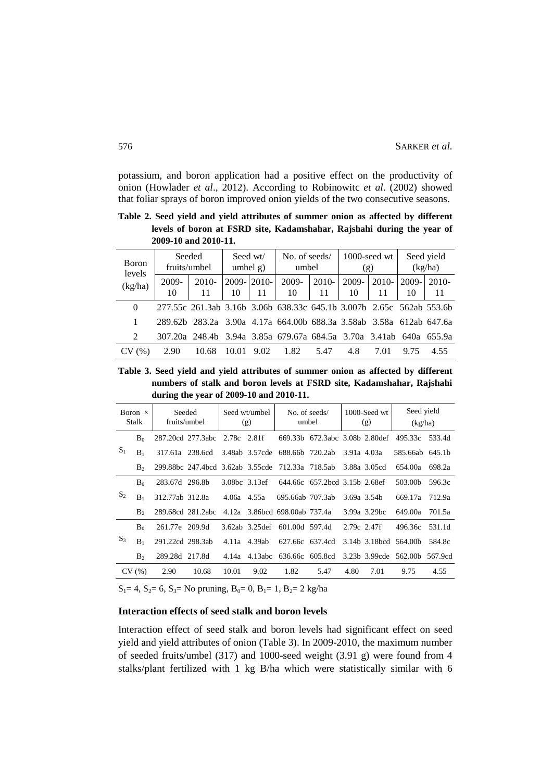potassium, and boron application had a positive effect on the productivity of onion (Howlader *et al*., 2012). According to Robinowitc *et al*. (2002) showed that foliar sprays of boron improved onion yields of the two consecutive seasons.

**Table 2. Seed yield and yield attributes of summer onion as affected by different levels of boron at FSRD site, Kadamshahar, Rajshahi during the year of 2009-10 and 2010-11.**

| <b>B</b> oron<br>levels<br>(kg/ha) | Seeded<br>fruits/umbel |               | Seed wt/<br>umbel $g$ ) |                | No. of seeds/<br>umbel                                               |             | $1000$ -seed wt<br>(g) |               | Seed yield<br>(kg/ha) |               |
|------------------------------------|------------------------|---------------|-------------------------|----------------|----------------------------------------------------------------------|-------------|------------------------|---------------|-----------------------|---------------|
|                                    | 2009-<br>10            | $2010-$<br>11 | 2009-<br>10             | $2010 -$<br>11 | $2009 -$<br>10                                                       | 2010-<br>11 | 2009-<br>10            | $2010-$<br>11 | 2009-<br>10           | $2010-$<br>11 |
| $\Omega$                           |                        |               |                         |                | 277.55c 261.3ab 3.16b 3.06b 638.33c 645.1b 3.007b 2.65c 562ab 553.6b |             |                        |               |                       |               |
|                                    |                        |               |                         |                | 289.62b 283.2a 3.90a 4.17a 664.00b 688.3a 3.58ab 3.58a 612ab 647.6a  |             |                        |               |                       |               |
| 2                                  |                        |               |                         |                | 307.20a 248.4b 3.94a 3.85a 679.67a 684.5a 3.70a 3.41ab 640a 655.9a   |             |                        |               |                       |               |
| $\%$ )                             | 2.90                   | 10.68         | 10.01                   | 9.02           | 1.82                                                                 | 5.47        | 4.8                    | 7.01          | 9.75                  | 4.55          |

**Table 3. Seed yield and yield attributes of summer onion as affected by different numbers of stalk and boron levels at FSRD site, Kadamshahar, Rajshahi during the year of 2009-10 and 2010-11.**

| Boron $\times$<br>Stalk                                     |                | Seeded<br>fruits/umbel |                                                  | Seed wt/umbel<br>(g) |                | No. of seeds/<br>umbel        |                               | $1000$ -Seed wt<br>(g) |                 | Seed yield<br>(kg/ha)         |        |
|-------------------------------------------------------------|----------------|------------------------|--------------------------------------------------|----------------------|----------------|-------------------------------|-------------------------------|------------------------|-----------------|-------------------------------|--------|
| $S_1$                                                       | $B_0$          |                        | 287.20cd 277.3abc                                | 2.78c 2.81f          |                | 669.33b                       | 672.3abc 3.08b 2.80def        |                        |                 | 495.33c                       | 533.4d |
|                                                             | $B_1$          |                        | 317.61a 238.6cd 3.48ab 3.57cde                   |                      |                | 688.66b 720.2ab               |                               | 3.91a 4.03a            |                 | 585.66ab 645.1b               |        |
|                                                             | B <sub>2</sub> |                        | 299.88bc 247.4bcd 3.62ab 3.55cde 712.33a 718.5ab |                      |                |                               |                               |                        | 3.88a 3.05cd    | 654.00a                       | 698.2a |
| B <sub>0</sub><br>S <sub>2</sub><br>$B_1$<br>B <sub>2</sub> |                | 283.67d 296.8b         |                                                  |                      | 3.08bc 3.13ef  |                               | 644.66c 657.2bcd 3.15b 2.68ef |                        |                 | 503.00b                       | 596.3c |
|                                                             |                | 312.77ab 312.8a        |                                                  | $4.06a$ $4.55a$      |                | 695.66ab 707.3ab              |                               |                        | $3.69a$ $3.54b$ | 669.17a                       | 712.9a |
|                                                             |                |                        | 289.68cd 281.2abc                                |                      |                | 4.12a 3.86bcd 698.00ab 737.4a |                               |                        | 3.99a 3.29bc    | 649.00a                       | 701.5a |
| $B_0$<br>$S_3$<br>$B_1$<br>B <sub>2</sub>                   |                | 261.77e 209.9d         |                                                  |                      | 3.62ab 3.25def | 601,00d 597.4d                |                               | 2.79c 2.47f            |                 | 496.36c                       | 531.1d |
|                                                             |                | 291.22cd 298.3ab       |                                                  |                      | 4.11a 4.39ab   | 627.66c 637.4cd               |                               |                        |                 | 3.14b 3.18bcd 564.00b         | 584.8c |
|                                                             |                | 289.28d 217.8d         |                                                  |                      | 4.14a 4.13abc  | 636.66c 605.8cd               |                               |                        |                 | 3.23b 3.99cde 562.00b 567.9cd |        |
|                                                             | CV(%)          | 2.90                   | 10.68                                            | 10.01                | 9.02           | 1.82                          | 5.47                          | 4.80                   | 7.01            | 9.75                          | 4.55   |

 $S_1$  = 4,  $S_2$  = 6,  $S_3$  = No pruning,  $B_0$  = 0,  $B_1$  = 1,  $B_2$  = 2 kg/ha

### **Interaction effects of seed stalk and boron levels**

Interaction effect of seed stalk and boron levels had significant effect on seed yield and yield attributes of onion (Table 3). In 2009-2010, the maximum number of seeded fruits/umbel (317) and 1000-seed weight (3.91 g) were found from 4 stalks/plant fertilized with 1 kg B/ha which were statistically similar with 6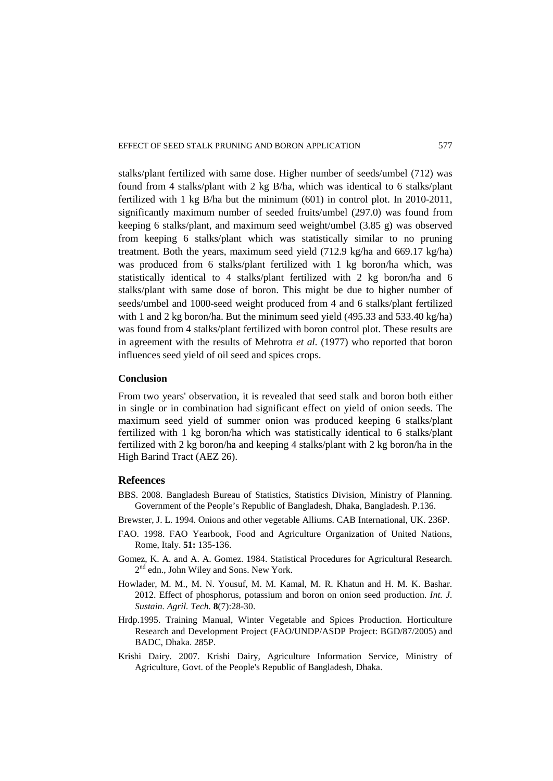stalks/plant fertilized with same dose. Higher number of seeds/umbel (712) was found from 4 stalks/plant with 2 kg B/ha, which was identical to 6 stalks/plant fertilized with 1 kg B/ha but the minimum (601) in control plot. In 2010-2011, significantly maximum number of seeded fruits/umbel (297.0) was found from keeping 6 stalks/plant, and maximum seed weight/umbel (3.85 g) was observed from keeping 6 stalks/plant which was statistically similar to no pruning treatment. Both the years, maximum seed yield (712.9 kg/ha and 669.17 kg/ha) was produced from 6 stalks/plant fertilized with 1 kg boron/ha which, was statistically identical to 4 stalks/plant fertilized with 2 kg boron/ha and 6 stalks/plant with same dose of boron. This might be due to higher number of seeds/umbel and 1000-seed weight produced from 4 and 6 stalks/plant fertilized with 1 and 2 kg boron/ha. But the minimum seed yield (495.33 and 533.40 kg/ha) was found from 4 stalks/plant fertilized with boron control plot. These results are in agreement with the results of Mehrotra *et al.* (1977) who reported that boron influences seed yield of oil seed and spices crops.

### **Conclusion**

From two years' observation, it is revealed that seed stalk and boron both either in single or in combination had significant effect on yield of onion seeds. The maximum seed yield of summer onion was produced keeping 6 stalks/plant fertilized with 1 kg boron/ha which was statistically identical to 6 stalks/plant fertilized with 2 kg boron/ha and keeping 4 stalks/plant with 2 kg boron/ha in the High Barind Tract (AEZ 26).

## **Refeences**

- BBS. 2008. Bangladesh Bureau of Statistics, Statistics Division, Ministry of Planning. Government of the People's Republic of Bangladesh, Dhaka, Bangladesh. P.136.
- Brewster, J. L. 1994. Onions and other vegetable Alliums. CAB International, UK. 236P.
- FAO. 1998. FAO Yearbook, Food and Agriculture Organization of United Nations, Rome, Italy. **51:** 135-136.
- Gomez, K. A. and A. A. Gomez. 1984. Statistical Procedures for Agricultural Research.  $2<sup>nd</sup>$  edn., John Wiley and Sons. New York.
- Howlader, M. M., M. N. Yousuf, M. M. Kamal, M. R. Khatun and H. M. K. Bashar. 2012. Effect of phosphorus, potassium and boron on onion seed production. *Int. J. Sustain. Agril. Tech.* **8**(7):28-30.
- Hrdp.1995. Training Manual, Winter Vegetable and Spices Production. Horticulture Research and Development Project (FAO/UNDP/ASDP Project: BGD/87/2005) and BADC, Dhaka. 285P.
- Krishi Dairy. 2007. Krishi Dairy, Agriculture Information Service, Ministry of Agriculture, Govt. of the People's Republic of Bangladesh, Dhaka.